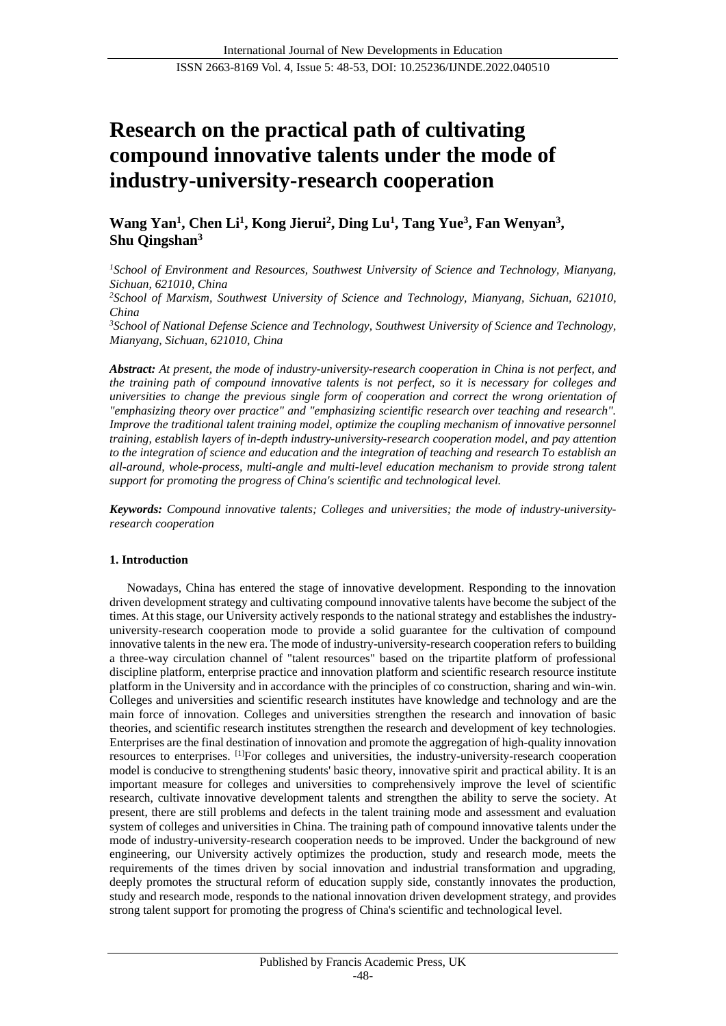# **Research on the practical path of cultivating compound innovative talents under the mode of industry-university-research cooperation**

**Wang Yan<sup>1</sup> , Chen Li<sup>1</sup> , Kong Jierui<sup>2</sup> , Ding Lu<sup>1</sup> , Tang Yue<sup>3</sup> , Fan Wenyan<sup>3</sup> , Shu Qingshan<sup>3</sup>**

*<sup>1</sup>School of Environment and Resources, Southwest University of Science and Technology, Mianyang, Sichuan, 621010, China*

*<sup>2</sup>School of Marxism, Southwest University of Science and Technology, Mianyang, Sichuan, 621010, China*

*<sup>3</sup>School of National Defense Science and Technology, Southwest University of Science and Technology, Mianyang, Sichuan, 621010, China*

*Abstract: At present, the mode of industry-university-research cooperation in China is not perfect, and the training path of compound innovative talents is not perfect, so it is necessary for colleges and universities to change the previous single form of cooperation and correct the wrong orientation of "emphasizing theory over practice" and "emphasizing scientific research over teaching and research". Improve the traditional talent training model, optimize the coupling mechanism of innovative personnel training, establish layers of in-depth industry-university-research cooperation model, and pay attention to the integration of science and education and the integration of teaching and research To establish an all-around, whole-process, multi-angle and multi-level education mechanism to provide strong talent support for promoting the progress of China's scientific and technological level.*

*Keywords: Compound innovative talents; Colleges and universities; the mode of industry-universityresearch cooperation*

## **1. Introduction**

Nowadays, China has entered the stage of innovative development. Responding to the innovation driven development strategy and cultivating compound innovative talents have become the subject of the times. At this stage, our University actively responds to the national strategy and establishes the industryuniversity-research cooperation mode to provide a solid guarantee for the cultivation of compound innovative talents in the new era. The mode of industry-university-research cooperation refers to building a three-way circulation channel of "talent resources" based on the tripartite platform of professional discipline platform, enterprise practice and innovation platform and scientific research resource institute platform in the University and in accordance with the principles of co construction, sharing and win-win. Colleges and universities and scientific research institutes have knowledge and technology and are the main force of innovation. Colleges and universities strengthen the research and innovation of basic theories, and scientific research institutes strengthen the research and development of key technologies. Enterprises are the final destination of innovation and promote the aggregation of high-quality innovation resources to enterprises. [1]For colleges and universities, the industry-university-research cooperation model is conducive to strengthening students' basic theory, innovative spirit and practical ability. It is an important measure for colleges and universities to comprehensively improve the level of scientific research, cultivate innovative development talents and strengthen the ability to serve the society. At present, there are still problems and defects in the talent training mode and assessment and evaluation system of colleges and universities in China. The training path of compound innovative talents under the mode of industry-university-research cooperation needs to be improved. Under the background of new engineering, our University actively optimizes the production, study and research mode, meets the requirements of the times driven by social innovation and industrial transformation and upgrading, deeply promotes the structural reform of education supply side, constantly innovates the production, study and research mode, responds to the national innovation driven development strategy, and provides strong talent support for promoting the progress of China's scientific and technological level.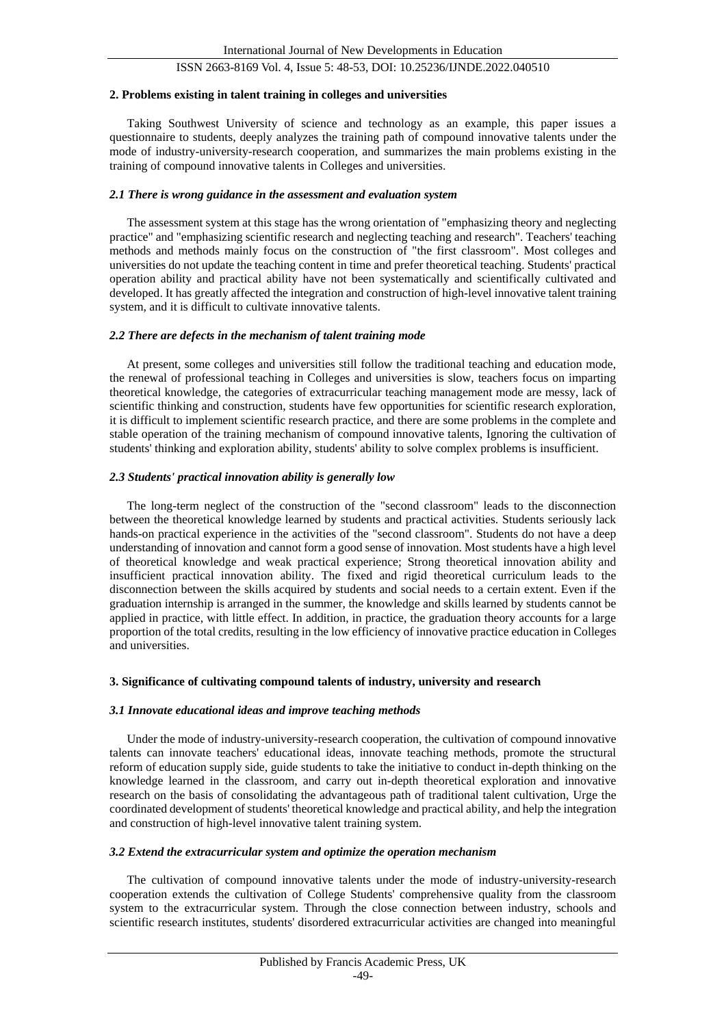#### **2. Problems existing in talent training in colleges and universities**

Taking Southwest University of science and technology as an example, this paper issues a questionnaire to students, deeply analyzes the training path of compound innovative talents under the mode of industry-university-research cooperation, and summarizes the main problems existing in the training of compound innovative talents in Colleges and universities.

### *2.1 There is wrong guidance in the assessment and evaluation system*

The assessment system at this stage has the wrong orientation of "emphasizing theory and neglecting practice" and "emphasizing scientific research and neglecting teaching and research". Teachers' teaching methods and methods mainly focus on the construction of "the first classroom". Most colleges and universities do not update the teaching content in time and prefer theoretical teaching. Students' practical operation ability and practical ability have not been systematically and scientifically cultivated and developed. It has greatly affected the integration and construction of high-level innovative talent training system, and it is difficult to cultivate innovative talents.

### *2.2 There are defects in the mechanism of talent training mode*

At present, some colleges and universities still follow the traditional teaching and education mode, the renewal of professional teaching in Colleges and universities is slow, teachers focus on imparting theoretical knowledge, the categories of extracurricular teaching management mode are messy, lack of scientific thinking and construction, students have few opportunities for scientific research exploration, it is difficult to implement scientific research practice, and there are some problems in the complete and stable operation of the training mechanism of compound innovative talents, Ignoring the cultivation of students' thinking and exploration ability, students' ability to solve complex problems is insufficient.

#### *2.3 Students' practical innovation ability is generally low*

The long-term neglect of the construction of the "second classroom" leads to the disconnection between the theoretical knowledge learned by students and practical activities. Students seriously lack hands-on practical experience in the activities of the "second classroom". Students do not have a deep understanding of innovation and cannot form a good sense of innovation. Most students have a high level of theoretical knowledge and weak practical experience; Strong theoretical innovation ability and insufficient practical innovation ability. The fixed and rigid theoretical curriculum leads to the disconnection between the skills acquired by students and social needs to a certain extent. Even if the graduation internship is arranged in the summer, the knowledge and skills learned by students cannot be applied in practice, with little effect. In addition, in practice, the graduation theory accounts for a large proportion of the total credits, resulting in the low efficiency of innovative practice education in Colleges and universities.

#### **3. Significance of cultivating compound talents of industry, university and research**

#### *3.1 Innovate educational ideas and improve teaching methods*

Under the mode of industry-university-research cooperation, the cultivation of compound innovative talents can innovate teachers' educational ideas, innovate teaching methods, promote the structural reform of education supply side, guide students to take the initiative to conduct in-depth thinking on the knowledge learned in the classroom, and carry out in-depth theoretical exploration and innovative research on the basis of consolidating the advantageous path of traditional talent cultivation, Urge the coordinated development of students' theoretical knowledge and practical ability, and help the integration and construction of high-level innovative talent training system.

## *3.2 Extend the extracurricular system and optimize the operation mechanism*

The cultivation of compound innovative talents under the mode of industry-university-research cooperation extends the cultivation of College Students' comprehensive quality from the classroom system to the extracurricular system. Through the close connection between industry, schools and scientific research institutes, students' disordered extracurricular activities are changed into meaningful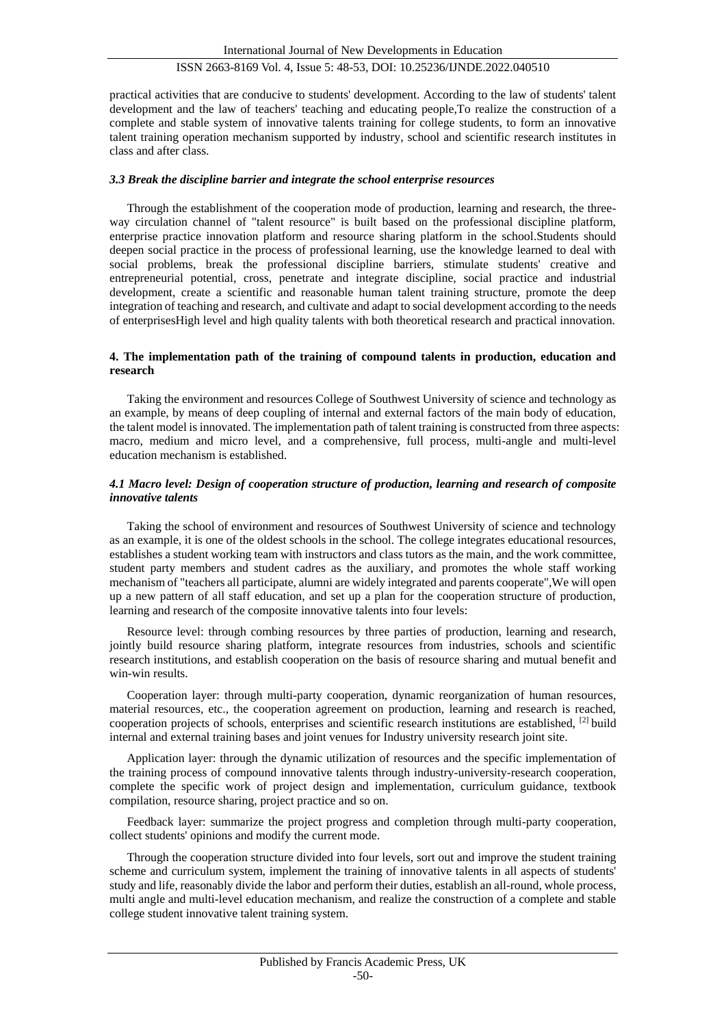practical activities that are conducive to students' development. According to the law of students' talent development and the law of teachers' teaching and educating people,To realize the construction of a complete and stable system of innovative talents training for college students, to form an innovative talent training operation mechanism supported by industry, school and scientific research institutes in class and after class.

## *3.3 Break the discipline barrier and integrate the school enterprise resources*

Through the establishment of the cooperation mode of production, learning and research, the threeway circulation channel of "talent resource" is built based on the professional discipline platform, enterprise practice innovation platform and resource sharing platform in the school.Students should deepen social practice in the process of professional learning, use the knowledge learned to deal with social problems, break the professional discipline barriers, stimulate students' creative and entrepreneurial potential, cross, penetrate and integrate discipline, social practice and industrial development, create a scientific and reasonable human talent training structure, promote the deep integration of teaching and research, and cultivate and adapt to social development according to the needs of enterprisesHigh level and high quality talents with both theoretical research and practical innovation.

## **4. The implementation path of the training of compound talents in production, education and research**

Taking the environment and resources College of Southwest University of science and technology as an example, by means of deep coupling of internal and external factors of the main body of education, the talent model is innovated. The implementation path of talent training is constructed from three aspects: macro, medium and micro level, and a comprehensive, full process, multi-angle and multi-level education mechanism is established.

## *4.1 Macro level: Design of cooperation structure of production, learning and research of composite innovative talents*

Taking the school of environment and resources of Southwest University of science and technology as an example, it is one of the oldest schools in the school. The college integrates educational resources, establishes a student working team with instructors and class tutors as the main, and the work committee, student party members and student cadres as the auxiliary, and promotes the whole staff working mechanism of "teachers all participate, alumni are widely integrated and parents cooperate",We will open up a new pattern of all staff education, and set up a plan for the cooperation structure of production, learning and research of the composite innovative talents into four levels:

Resource level: through combing resources by three parties of production, learning and research, jointly build resource sharing platform, integrate resources from industries, schools and scientific research institutions, and establish cooperation on the basis of resource sharing and mutual benefit and win-win results.

Cooperation layer: through multi-party cooperation, dynamic reorganization of human resources, material resources, etc., the cooperation agreement on production, learning and research is reached, cooperation projects of schools, enterprises and scientific research institutions are established, [2] build internal and external training bases and joint venues for Industry university research joint site.

Application layer: through the dynamic utilization of resources and the specific implementation of the training process of compound innovative talents through industry-university-research cooperation, complete the specific work of project design and implementation, curriculum guidance, textbook compilation, resource sharing, project practice and so on.

Feedback layer: summarize the project progress and completion through multi-party cooperation, collect students' opinions and modify the current mode.

Through the cooperation structure divided into four levels, sort out and improve the student training scheme and curriculum system, implement the training of innovative talents in all aspects of students' study and life, reasonably divide the labor and perform their duties, establish an all-round, whole process, multi angle and multi-level education mechanism, and realize the construction of a complete and stable college student innovative talent training system.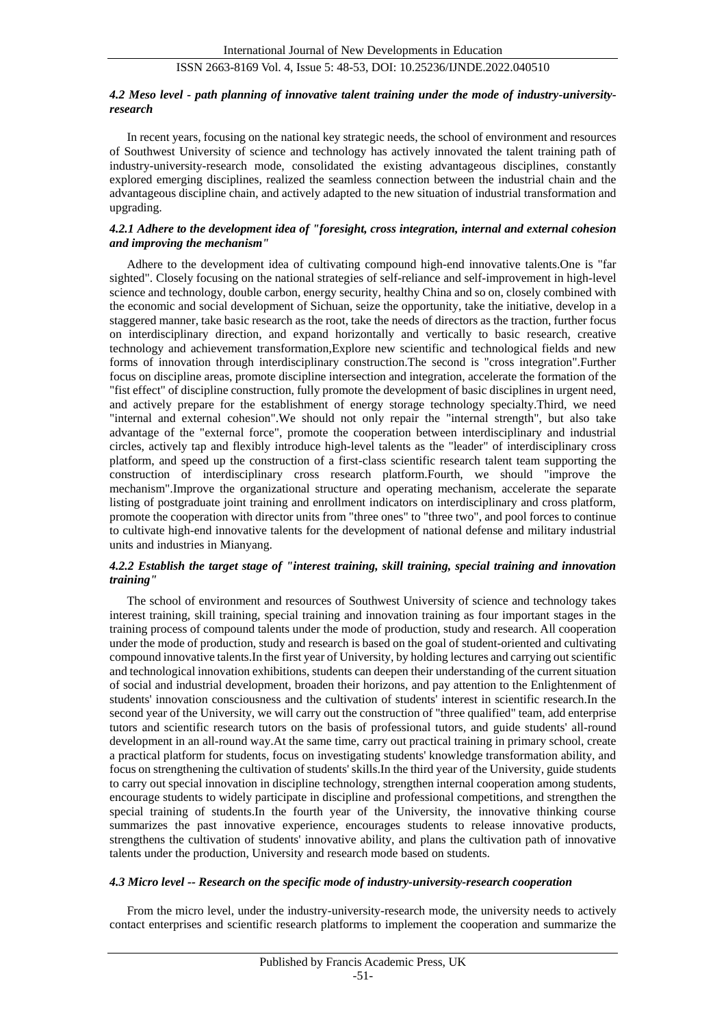## *4.2 Meso level - path planning of innovative talent training under the mode of industry-universityresearch*

In recent years, focusing on the national key strategic needs, the school of environment and resources of Southwest University of science and technology has actively innovated the talent training path of industry-university-research mode, consolidated the existing advantageous disciplines, constantly explored emerging disciplines, realized the seamless connection between the industrial chain and the advantageous discipline chain, and actively adapted to the new situation of industrial transformation and upgrading.

## *4.2.1 Adhere to the development idea of "foresight, cross integration, internal and external cohesion and improving the mechanism"*

Adhere to the development idea of cultivating compound high-end innovative talents.One is "far sighted". Closely focusing on the national strategies of self-reliance and self-improvement in high-level science and technology, double carbon, energy security, healthy China and so on, closely combined with the economic and social development of Sichuan, seize the opportunity, take the initiative, develop in a staggered manner, take basic research as the root, take the needs of directors as the traction, further focus on interdisciplinary direction, and expand horizontally and vertically to basic research, creative technology and achievement transformation,Explore new scientific and technological fields and new forms of innovation through interdisciplinary construction.The second is "cross integration".Further focus on discipline areas, promote discipline intersection and integration, accelerate the formation of the "fist effect" of discipline construction, fully promote the development of basic disciplines in urgent need, and actively prepare for the establishment of energy storage technology specialty.Third, we need "internal and external cohesion".We should not only repair the "internal strength", but also take advantage of the "external force", promote the cooperation between interdisciplinary and industrial circles, actively tap and flexibly introduce high-level talents as the "leader" of interdisciplinary cross platform, and speed up the construction of a first-class scientific research talent team supporting the construction of interdisciplinary cross research platform.Fourth, we should "improve the mechanism".Improve the organizational structure and operating mechanism, accelerate the separate listing of postgraduate joint training and enrollment indicators on interdisciplinary and cross platform, promote the cooperation with director units from "three ones" to "three two", and pool forces to continue to cultivate high-end innovative talents for the development of national defense and military industrial units and industries in Mianyang.

# *4.2.2 Establish the target stage of "interest training, skill training, special training and innovation training"*

The school of environment and resources of Southwest University of science and technology takes interest training, skill training, special training and innovation training as four important stages in the training process of compound talents under the mode of production, study and research. All cooperation under the mode of production, study and research is based on the goal of student-oriented and cultivating compound innovative talents.In the first year of University, by holding lectures and carrying out scientific and technological innovation exhibitions, students can deepen their understanding of the current situation of social and industrial development, broaden their horizons, and pay attention to the Enlightenment of students' innovation consciousness and the cultivation of students' interest in scientific research.In the second year of the University, we will carry out the construction of "three qualified" team, add enterprise tutors and scientific research tutors on the basis of professional tutors, and guide students' all-round development in an all-round way.At the same time, carry out practical training in primary school, create a practical platform for students, focus on investigating students' knowledge transformation ability, and focus on strengthening the cultivation of students' skills.In the third year of the University, guide students to carry out special innovation in discipline technology, strengthen internal cooperation among students, encourage students to widely participate in discipline and professional competitions, and strengthen the special training of students.In the fourth year of the University, the innovative thinking course summarizes the past innovative experience, encourages students to release innovative products, strengthens the cultivation of students' innovative ability, and plans the cultivation path of innovative talents under the production, University and research mode based on students.

#### *4.3 Micro level -- Research on the specific mode of industry-university-research cooperation*

From the micro level, under the industry-university-research mode, the university needs to actively contact enterprises and scientific research platforms to implement the cooperation and summarize the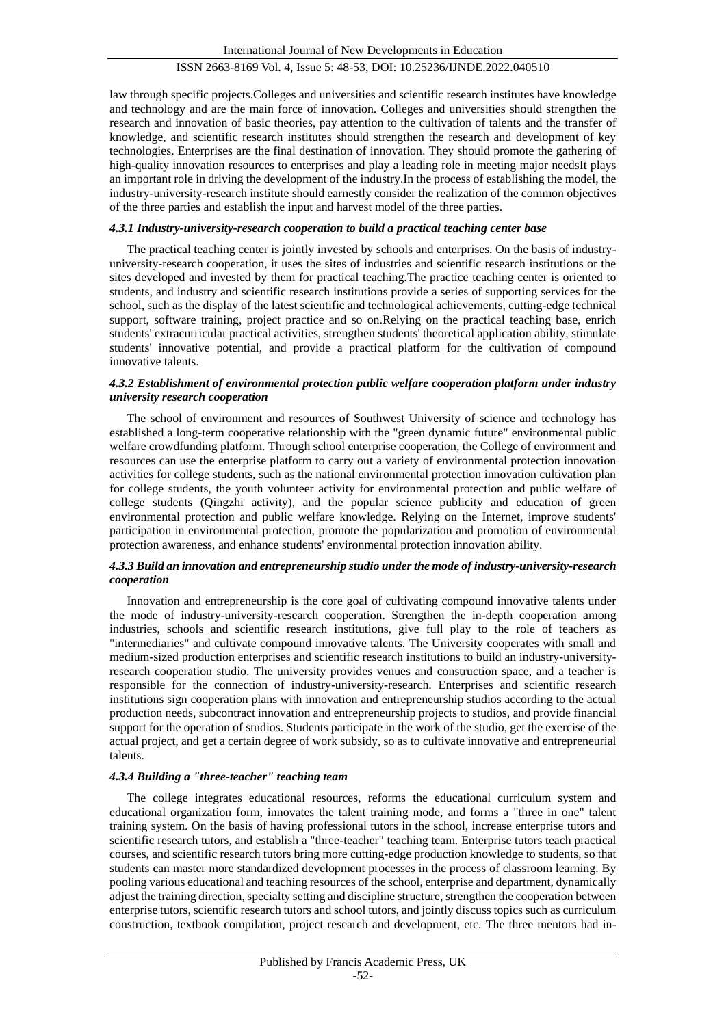law through specific projects.Colleges and universities and scientific research institutes have knowledge and technology and are the main force of innovation. Colleges and universities should strengthen the research and innovation of basic theories, pay attention to the cultivation of talents and the transfer of knowledge, and scientific research institutes should strengthen the research and development of key technologies. Enterprises are the final destination of innovation. They should promote the gathering of high-quality innovation resources to enterprises and play a leading role in meeting major needsIt plays an important role in driving the development of the industry.In the process of establishing the model, the industry-university-research institute should earnestly consider the realization of the common objectives of the three parties and establish the input and harvest model of the three parties.

#### *4.3.1 Industry-university-research cooperation to build a practical teaching center base*

The practical teaching center is jointly invested by schools and enterprises. On the basis of industryuniversity-research cooperation, it uses the sites of industries and scientific research institutions or the sites developed and invested by them for practical teaching.The practice teaching center is oriented to students, and industry and scientific research institutions provide a series of supporting services for the school, such as the display of the latest scientific and technological achievements, cutting-edge technical support, software training, project practice and so on.Relying on the practical teaching base, enrich students' extracurricular practical activities, strengthen students' theoretical application ability, stimulate students' innovative potential, and provide a practical platform for the cultivation of compound innovative talents.

## *4.3.2 Establishment of environmental protection public welfare cooperation platform under industry university research cooperation*

The school of environment and resources of Southwest University of science and technology has established a long-term cooperative relationship with the "green dynamic future" environmental public welfare crowdfunding platform. Through school enterprise cooperation, the College of environment and resources can use the enterprise platform to carry out a variety of environmental protection innovation activities for college students, such as the national environmental protection innovation cultivation plan for college students, the youth volunteer activity for environmental protection and public welfare of college students (Qingzhi activity), and the popular science publicity and education of green environmental protection and public welfare knowledge. Relying on the Internet, improve students' participation in environmental protection, promote the popularization and promotion of environmental protection awareness, and enhance students' environmental protection innovation ability.

## *4.3.3 Build an innovation and entrepreneurship studio under the mode of industry-university-research cooperation*

Innovation and entrepreneurship is the core goal of cultivating compound innovative talents under the mode of industry-university-research cooperation. Strengthen the in-depth cooperation among industries, schools and scientific research institutions, give full play to the role of teachers as "intermediaries" and cultivate compound innovative talents. The University cooperates with small and medium-sized production enterprises and scientific research institutions to build an industry-universityresearch cooperation studio. The university provides venues and construction space, and a teacher is responsible for the connection of industry-university-research. Enterprises and scientific research institutions sign cooperation plans with innovation and entrepreneurship studios according to the actual production needs, subcontract innovation and entrepreneurship projects to studios, and provide financial support for the operation of studios. Students participate in the work of the studio, get the exercise of the actual project, and get a certain degree of work subsidy, so as to cultivate innovative and entrepreneurial talents.

#### *4.3.4 Building a "three-teacher" teaching team*

The college integrates educational resources, reforms the educational curriculum system and educational organization form, innovates the talent training mode, and forms a "three in one" talent training system. On the basis of having professional tutors in the school, increase enterprise tutors and scientific research tutors, and establish a "three-teacher" teaching team. Enterprise tutors teach practical courses, and scientific research tutors bring more cutting-edge production knowledge to students, so that students can master more standardized development processes in the process of classroom learning. By pooling various educational and teaching resources of the school, enterprise and department, dynamically adjust the training direction, specialty setting and discipline structure, strengthen the cooperation between enterprise tutors, scientific research tutors and school tutors, and jointly discuss topics such as curriculum construction, textbook compilation, project research and development, etc. The three mentors had in-